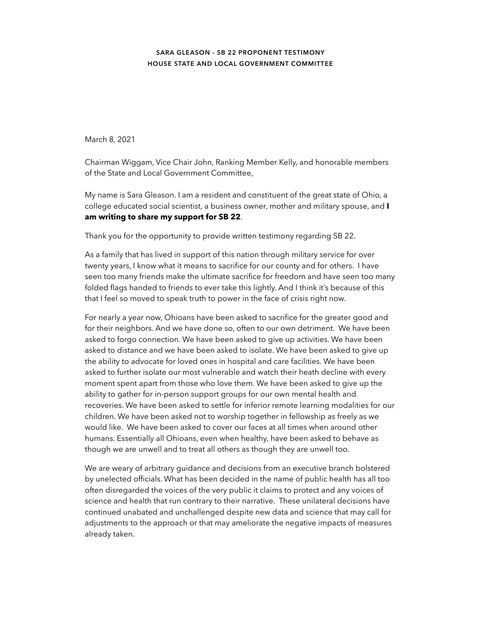## **SARA GLEASON - SB 22 PROPONENT TESTIMONY HOUSE STATE AND LOCAL GOVERNMENT COMMITTEE**

March 8, 2021

Chairman Wiggam, Vice Chair John, Ranking Member Kelly, and honorable members of the State and Local Government Committee,

My name is Sara Gleason. I am a resident and constituent of the great state of Ohio, a college educated social scientist, a business owner, mother and military spouse, and **I am writing to share my support for SB 22**.

Thank you for the opportunity to provide written testimony regarding SB 22.

As a family that has lived in support of this nation through military service for over twenty years, I know what it means to sacrifice for our county and for others. I have seen too many friends make the ultimate sacrifice for freedom and have seen too many folded flags handed to friends to ever take this lightly. And I think it's because of this that I feel so moved to speak truth to power in the face of crisis right now.

For nearly a year now, Ohioans have been asked to sacrifice for the greater good and for their neighbors. And we have done so, often to our own detriment. We have been asked to forgo connection. We have been asked to give up activities. We have been asked to distance and we have been asked to isolate. We have been asked to give up the ability to advocate for loved ones in hospital and care facilities. We have been asked to further isolate our most vulnerable and watch their heath decline with every moment spent apart from those who love them. We have been asked to give up the ability to gather for in-person support groups for our own mental health and recoveries. We have been asked to settle for inferior remote learning modalities for our children. We have been asked not to worship together in fellowship as freely as we would like. We have been asked to cover our faces at all times when around other humans. Essentially all Ohioans, even when healthy, have been asked to behave as though we are unwell and to treat all others as though they are unwell too.

We are weary of arbitrary guidance and decisions from an executive branch bolstered by unelected officials. What has been decided in the name of public health has all too often disregarded the voices of the very public it claims to protect and any voices of science and health that run contrary to their narrative. These unilateral decisions have continued unabated and unchallenged despite new data and science that may call for adjustments to the approach or that may ameliorate the negative impacts of measures already taken.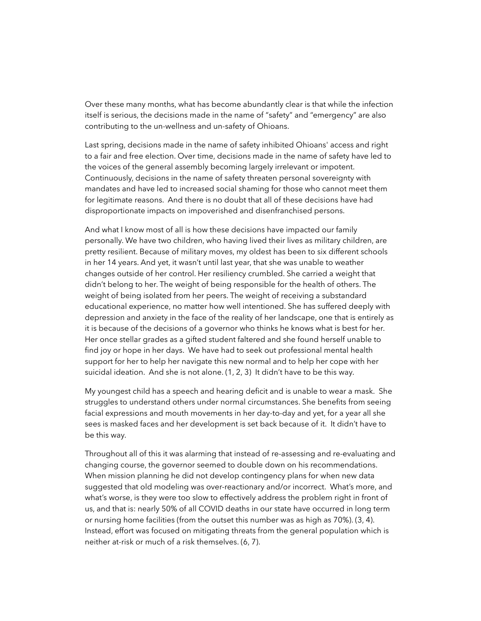Over these many months, what has become abundantly clear is that while the infection itself is serious, the decisions made in the name of "safety" and "emergency" are also contributing to the un-wellness and un-safety of Ohioans.

Last spring, decisions made in the name of safety inhibited Ohioans' access and right to a fair and free election. Over time, decisions made in the name of safety have led to the voices of the general assembly becoming largely irrelevant or impotent. Continuously, decisions in the name of safety threaten personal sovereignty with mandates and have led to increased social shaming for those who cannot meet them for legitimate reasons. And there is no doubt that all of these decisions have had disproportionate impacts on impoverished and disenfranchised persons.

And what I know most of all is how these decisions have impacted our family personally. We have two children, who having lived their lives as military children, are pretty resilient. Because of military moves, my oldest has been to six different schools in her 14 years. And yet, it wasn't until last year, that she was unable to weather changes outside of her control. Her resiliency crumbled. She carried a weight that didn't belong to her. The weight of being responsible for the health of others. The weight of being isolated from her peers. The weight of receiving a substandard educational experience, no matter how well intentioned. She has suffered deeply with depression and anxiety in the face of the reality of her landscape, one that is entirely as it is because of the decisions of a governor who thinks he knows what is best for her. Her once stellar grades as a gifted student faltered and she found herself unable to find joy or hope in her days. We have had to seek out professional mental health support for her to help her navigate this new normal and to help her cope with her suicidal ideation. And she is not alone. (1, 2, 3) It didn't have to be this way.

My youngest child has a speech and hearing deficit and is unable to wear a mask. She struggles to understand others under normal circumstances. She benefits from seeing facial expressions and mouth movements in her day-to-day and yet, for a year all she sees is masked faces and her development is set back because of it. It didn't have to be this way.

Throughout all of this it was alarming that instead of re-assessing and re-evaluating and changing course, the governor seemed to double down on his recommendations. When mission planning he did not develop contingency plans for when new data suggested that old modeling was over-reactionary and/or incorrect. What's more, and what's worse, is they were too slow to effectively address the problem right in front of us, and that is: nearly 50% of all COVID deaths in our state have occurred in long term or nursing home facilities (from the outset this number was as high as 70%). (3, 4). Instead, effort was focused on mitigating threats from the general population which is neither at-risk or much of a risk themselves. (6, 7).